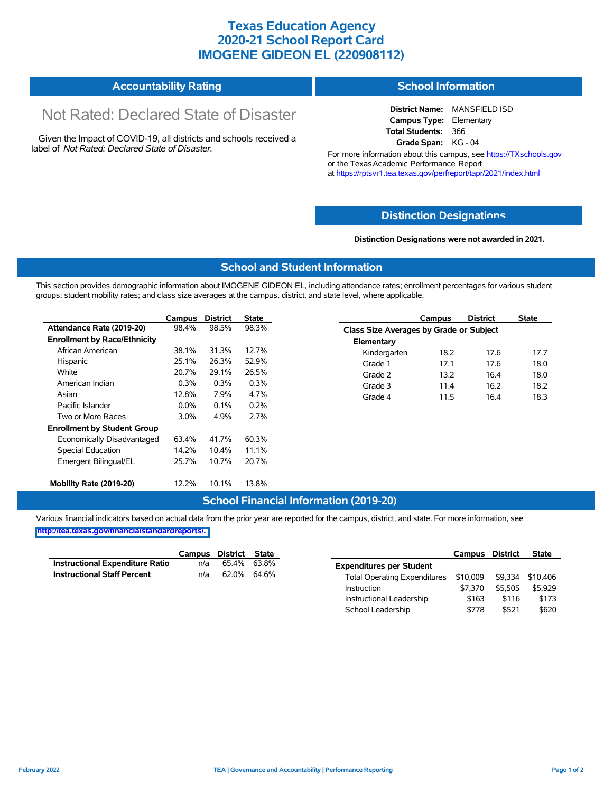# **Texas Education Agency 2020-21 School Report Card IMOGENE GIDEON EL (220908112)**

#### **Accountability Rating School Information**

# Not Rated: Declared State of Disaster

Given the Impact of COVID-19, all districts and schools received a label of *Not Rated: Declared State of Disaster.*

**District Name:** MANSFIELD ISD **Campus Type:** Elementary **Total Students:** 366 **Grade Span:** KG - 04

For more information about this campus, see https://TXschools.gov or the Texas Academic Performance Report at https://rptsvr1.tea.texas.gov/perfreport/tapr/2021/index.html

### **Distinction Designat[ions](https://TXschools.gov)**

**Distinction Designations were not awarded in 2021.**

School Leadership  $$778$  \$521 \$620

#### **School and Student Information**

This section provides demographic information about IMOGENE GIDEON EL, including attendance rates; enrollment percentages for various student groups; student mobility rates; and class size averages at the campus, district, and state level, where applicable.

|                                     | Campus  | <b>District</b> | <b>State</b> |              | Campus                                  | <b>District</b> | <b>State</b> |  |  |
|-------------------------------------|---------|-----------------|--------------|--------------|-----------------------------------------|-----------------|--------------|--|--|
| Attendance Rate (2019-20)           | 98.4%   | 98.5%           | 98.3%        |              | Class Size Averages by Grade or Subject |                 |              |  |  |
| <b>Enrollment by Race/Ethnicity</b> |         |                 |              | Elementary   |                                         |                 |              |  |  |
| African American                    | 38.1%   | 31.3%           | 12.7%        | Kindergarten | 18.2                                    | 17.6            | 17.7         |  |  |
| Hispanic                            | 25.1%   | 26.3%           | 52.9%        | Grade 1      | 17.1                                    | 17.6            | 18.0         |  |  |
| White                               | 20.7%   | 29.1%           | 26.5%        | Grade 2      | 13.2                                    | 16.4            | 18.0         |  |  |
| American Indian                     | 0.3%    | 0.3%            | 0.3%         | Grade 3      | 11.4                                    | 16.2            | 18.2         |  |  |
| Asian                               | 12.8%   | 7.9%            | 4.7%         | Grade 4      | 11.5                                    | 16.4            | 18.3         |  |  |
| Pacific Islander                    | $0.0\%$ | 0.1%            | 0.2%         |              |                                         |                 |              |  |  |
| Two or More Races                   | $3.0\%$ | 4.9%            | 2.7%         |              |                                         |                 |              |  |  |
| <b>Enrollment by Student Group</b>  |         |                 |              |              |                                         |                 |              |  |  |
| Economically Disadvantaged          | 63.4%   | 41.7%           | 60.3%        |              |                                         |                 |              |  |  |
| Special Education                   | 14.2%   | 10.4%           | 11.1%        |              |                                         |                 |              |  |  |
| Emergent Bilingual/EL               | 25.7%   | 10.7%           | 20.7%        |              |                                         |                 |              |  |  |
|                                     |         |                 |              |              |                                         |                 |              |  |  |
| Mobility Rate (2019-20)             | 12.2%   | 10.1%           | 13.8%        |              |                                         |                 |              |  |  |

#### **School Financial Information (2019-20)**

Various financial indicators based on actual data from the prior year are reported for the campus, district, and state. For more information, see

**[http://tea.texas.gov/financialstandardreports/.](http://tea.texas.gov/financialstandardreports/)**

|                                        | Campus | District State |             |                                     | Campus   | <b>District</b> | <b>State</b>     |
|----------------------------------------|--------|----------------|-------------|-------------------------------------|----------|-----------------|------------------|
| <b>Instructional Expenditure Ratio</b> | n/a    |                | 65.4% 63.8% | <b>Expenditures per Student</b>     |          |                 |                  |
| <b>Instructional Staff Percent</b>     | n/a    | 62.0% 64.6%    |             | <b>Total Operating Expenditures</b> | \$10,009 |                 | \$9,334 \$10,406 |
|                                        |        |                |             | Instruction                         | \$7.370  | \$5.505         | \$5.929          |
|                                        |        |                |             | Instructional Leadership            | \$163    | \$116           | \$173            |